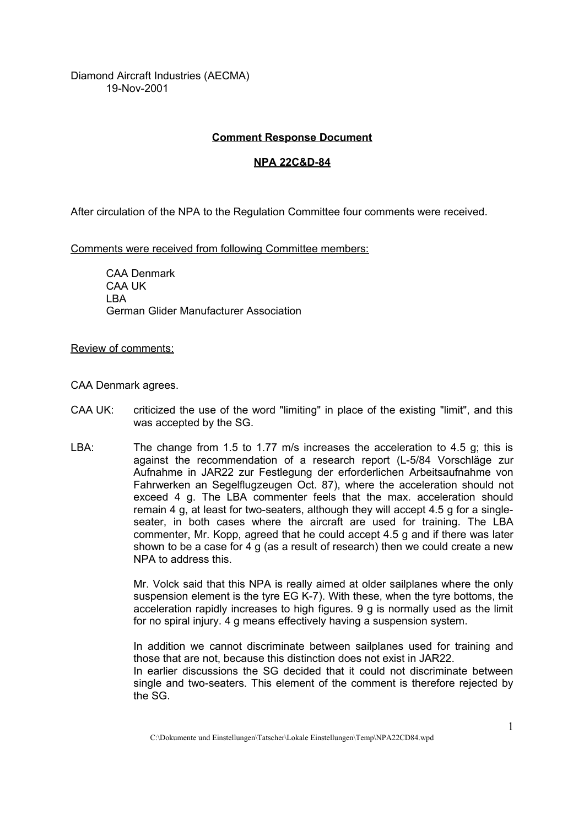Diamond Aircraft Industries (AECMA) 19-Nov-2001

## **Comment Response Document**

## **NPA 22C&D-84**

After circulation of the NPA to the Regulation Committee four comments were received.

Comments were received from following Committee members:

CAA Denmark CAA UK **LBA** German Glider Manufacturer Association

Review of comments:

CAA Denmark agrees.

- CAA UK: criticized the use of the word "limiting" in place of the existing "limit", and this was accepted by the SG.
- LBA: The change from 1.5 to 1.77 m/s increases the acceleration to 4.5 g; this is against the recommendation of a research report (L-5/84 Vorschläge zur Aufnahme in JAR22 zur Festlegung der erforderlichen Arbeitsaufnahme von Fahrwerken an Segelflugzeugen Oct. 87), where the acceleration should not exceed 4 g. The LBA commenter feels that the max. acceleration should remain 4 g, at least for two-seaters, although they will accept 4.5 g for a singleseater, in both cases where the aircraft are used for training. The LBA commenter, Mr. Kopp, agreed that he could accept 4.5 g and if there was later shown to be a case for  $4 \text{ g}$  (as a result of research) then we could create a new NPA to address this.

Mr. Volck said that this NPA is really aimed at older sailplanes where the only suspension element is the tyre EG K-7). With these, when the tyre bottoms, the acceleration rapidly increases to high figures. 9 g is normally used as the limit for no spiral injury. 4 g means effectively having a suspension system.

In addition we cannot discriminate between sailplanes used for training and those that are not, because this distinction does not exist in JAR22.

In earlier discussions the SG decided that it could not discriminate between single and two-seaters. This element of the comment is therefore rejected by the SG.

C:\Dokumente und Einstellungen\Tatscher\Lokale Einstellungen\Temp\NPA22CD84.wpd